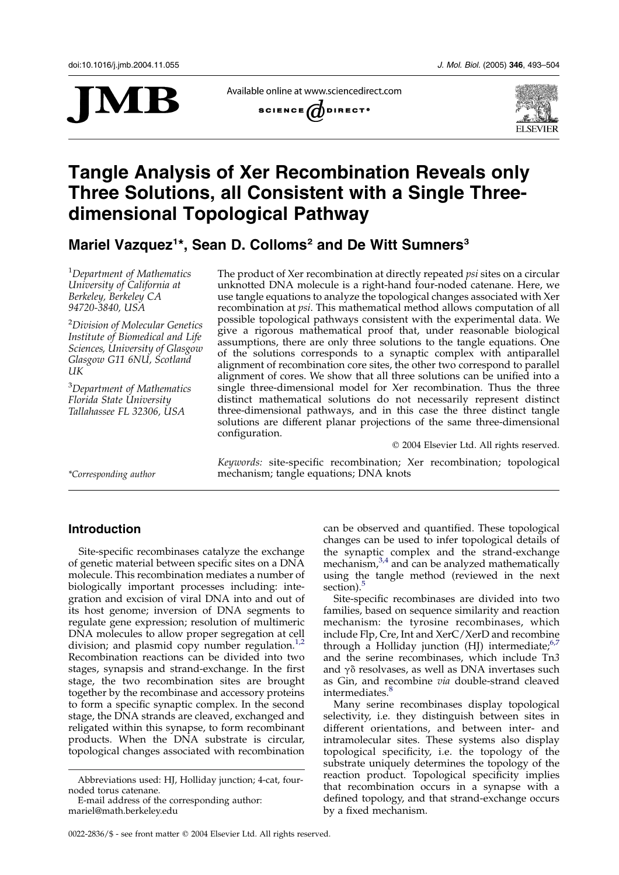

Available online at www.sciencedirect.com





# Tangle Analysis of Xer Recombination Reveals only Three Solutions, all Consistent with a Single Threedimensional Topological Pathway

## Mariel Vazquez<sup>1\*</sup>, Sean D. Colloms<sup>2</sup> and De Witt Sumners<sup>3</sup>

<sup>1</sup>Department of Mathematics University of California at Berkeley, Berkeley CA 94720-3840, USA

<sup>2</sup>Division of Molecular Genetics Institute of Biomedical and Life Sciences, University of Glasgow Glasgow G11 6NU, Scotland UK

<sup>3</sup>Department of Mathematics Florida State University Tallahassee FL 32306, USA

The product of Xer recombination at directly repeated psi sites on a circular unknotted DNA molecule is a right-hand four-noded catenane. Here, we use tangle equations to analyze the topological changes associated with Xer recombination at psi. This mathematical method allows computation of all possible topological pathways consistent with the experimental data. We give a rigorous mathematical proof that, under reasonable biological assumptions, there are only three solutions to the tangle equations. One of the solutions corresponds to a synaptic complex with antiparallel alignment of recombination core sites, the other two correspond to parallel alignment of cores. We show that all three solutions can be unified into a single three-dimensional model for Xer recombination. Thus the three distinct mathematical solutions do not necessarily represent distinct three-dimensional pathways, and in this case the three distinct tangle solutions are different planar projections of the same three-dimensional configuration.

 $Q$  2004 Elsevier Ltd. All rights reserved.

Keywords: site-specific recombination; Xer recombination; topological \*Corresponding author mechanism; tangle equations; DNA knots

## Introduction

Site-specific recombinases catalyze the exchange of genetic material between specific sites on a DNA molecule. This recombination mediates a number of biologically important processes including: integration and excision of viral DNA into and out of its host genome; inversion of DNA segments to regulate gene expression; resolution of multimeric DNA molecules to allow proper segregation at cell division; and plasmid copy number regulation.<sup>[1,2](#page-10-0)</sup> Recombination reactions can be divided into two stages, synapsis and strand-exchange. In the first stage, the two recombination sites are brought together by the recombinase and accessory proteins to form a specific synaptic complex. In the second stage, the DNA strands are cleaved, exchanged and religated within this synapse, to form recombinant products. When the DNA substrate is circular, topological changes associated with recombination

can be observed and quantified. These topological changes can be used to infer topological details of the synaptic complex and the strand-exchange mechanism, $3,4$  and can be analyzed mathematically using the tangle method (reviewed in the next section).<sup>[5](#page-10-0)</sup>

Site-specific recombinases are divided into two families, based on sequence similarity and reaction mechanism: the tyrosine recombinases, which include Flp, Cre, Int and XerC/XerD and recombine through a Holliday junction (HJ) intermediate; $6,7$ and the serine recombinases, which include Tn3 and  $\gamma\delta$  resolvases, as well as DNA invertases such as Gin, and recombine via double-strand cleaved intermediates.<sup>[8](#page-10-0)</sup>

Many serine recombinases display topological selectivity, i.e. they distinguish between sites in different orientations, and between inter- and intramolecular sites. These systems also display topological specificity, i.e. the topology of the substrate uniquely determines the topology of the reaction product. Topological specificity implies that recombination occurs in a synapse with a defined topology, and that strand-exchange occurs by a fixed mechanism.

Abbreviations used: HJ, Holliday junction; 4-cat, fournoded torus catenane.

E-mail address of the corresponding author: mariel@math.berkeley.edu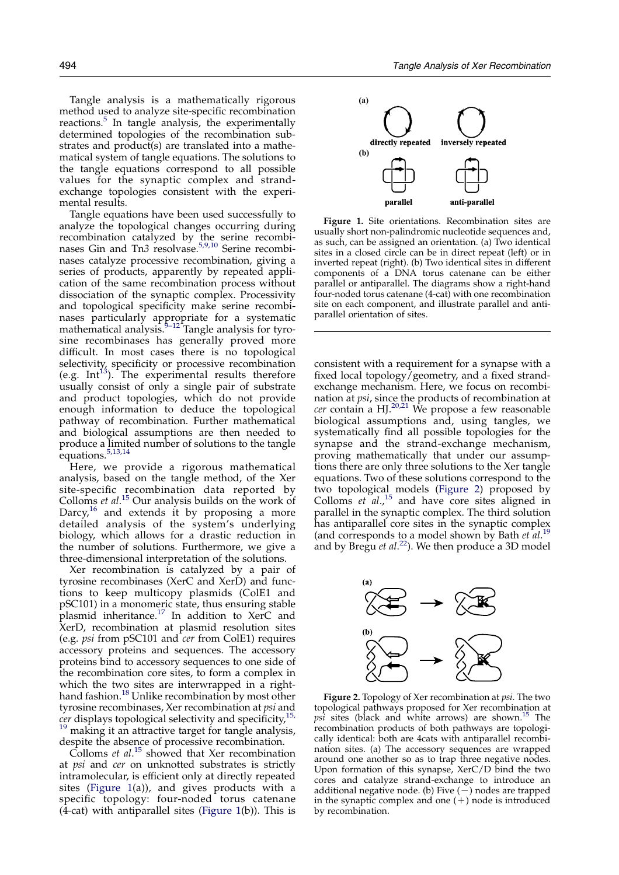<span id="page-1-0"></span>Tangle analysis is a mathematically rigorous method used to analyze site-specific recombination reactions. $5$  In tangle analysis, the experimentally determined topologies of the recombination substrates and product(s) are translated into a mathematical system of tangle equations. The solutions to the tangle equations correspond to all possible values for the synaptic complex and strandexchange topologies consistent with the experimental results.

Tangle equations have been used successfully to analyze the topological changes occurring during recombination catalyzed by the serine recombi-nases Gin and Tn3 resolvase.<sup>[5,9,10](#page-10-0)</sup> Serine recombinases catalyze processive recombination, giving a series of products, apparently by repeated application of the same recombination process without dissociation of the synaptic complex. Processivity and topological specificity make serine recombinases particularly appropriate for a systematic mathematical analysis. $\frac{9-12}{2}$  Tangle analysis for tyrosine recombinases has generally proved more difficult. In most cases there is no topological selectivity, specificity or processive recombination (e.g. Int<sup>13</sup>). The experimental results therefore usually consist of only a single pair of substrate and product topologies, which do not provide enough information to deduce the topological pathway of recombination. Further mathematical and biological assumptions are then needed to produce a limited number of solutions to the tangle equations.<sup>[5,13,14](#page-10-0)</sup>

Here, we provide a rigorous mathematical analysis, based on the tangle method, of the Xer site-specific recombination data reported by Colloms *et al.*<sup>[15](#page-10-0)</sup> Our analysis builds on the work of Darcy, $16$  and extends it by proposing a more detailed analysis of the system's underlying biology, which allows for a drastic reduction in the number of solutions. Furthermore, we give a three-dimensional interpretation of the solutions.

Xer recombination is catalyzed by a pair of tyrosine recombinases (XerC and XerD) and functions to keep multicopy plasmids (ColE1 and pSC101) in a monomeric state, thus ensuring stable plasmid inheritance.[17](#page-10-0) In addition to XerC and XerD, recombination at plasmid resolution sites (e.g. psi from pSC101 and cer from ColE1) requires accessory proteins and sequences. The accessory proteins bind to accessory sequences to one side of the recombination core sites, to form a complex in which the two sites are interwrapped in a right-hand fashion.<sup>[18](#page-10-0)</sup> Unlike recombination by most other tyrosine recombinases, Xer recombination at psi and  $c$ er displays topological selectivity and specificity,<sup>[15,](#page-10-0)</sup> <sup>[19](#page-10-0)</sup> making it an attractive target for tangle analysis,

despite the absence of processive recombination.

Colloms et al.<sup>[15](#page-10-0)</sup> showed that Xer recombination at psi and cer on unknotted substrates is strictly intramolecular, is efficient only at directly repeated sites (Figure 1(a)), and gives products with a specific topology: four-noded torus catenane  $(4$ -cat) with antiparallel sites (Figure 1(b)). This is



Figure 1. Site orientations. Recombination sites are usually short non-palindromic nucleotide sequences and, as such, can be assigned an orientation. (a) Two identical sites in a closed circle can be in direct repeat (left) or in inverted repeat (right). (b) Two identical sites in different components of a DNA torus catenane can be either parallel or antiparallel. The diagrams show a right-hand four-noded torus catenane (4-cat) with one recombination site on each component, and illustrate parallel and antiparallel orientation of sites.

consistent with a requirement for a synapse with a fixed local topology/geometry, and a fixed strandexchange mechanism. Here, we focus on recombination at psi, since the products of recombination at  $c$ er contain a HJ.<sup>[20,21](#page-10-0)</sup> We propose a few reasonable biological assumptions and, using tangles, we systematically find all possible topologies for the synapse and the strand-exchange mechanism, proving mathematically that under our assumptions there are only three solutions to the Xer tangle equations. Two of these solutions correspond to the two topological models (Figure 2) proposed by Colloms  $et$   $al.^{15}$  $al.^{15}$  $al.^{15}$  and have core sites aligned in parallel in the synaptic complex. The third solution has antiparallel core sites in the synaptic complex (and corresponds to a model shown by Bath  $et$   $al.^{19}$  $al.^{19}$  $al.^{19}$ and by Bregu et  $al.^{22}$  $al.^{22}$  $al.^{22}$ ). We then produce a 3D model



Figure 2. Topology of Xer recombination at psi. The two topological pathways proposed for Xer recombination at  $p\sin$  sites (black and white arrows) are shown.<sup>[15](#page-10-0)</sup> The recombination products of both pathways are topologically identical: both are 4cats with antiparallel recombination sites. (a) The accessory sequences are wrapped around one another so as to trap three negative nodes. Upon formation of this synapse, XerC/D bind the two cores and catalyze strand-exchange to introduce an additional negative node. (b) Five  $(\xrightarrow{K})$  nodes are trapped in the synaptic complex and one  $(+)$  node is introduced by recombination.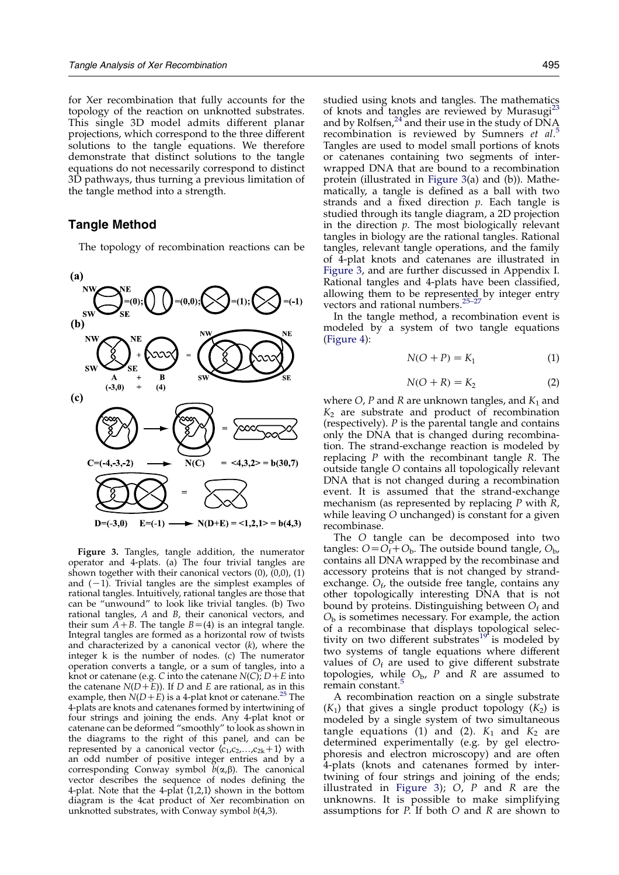<span id="page-2-0"></span>for Xer recombination that fully accounts for the topology of the reaction on unknotted substrates. This single 3D model admits different planar projections, which correspond to the three different solutions to the tangle equations. We therefore demonstrate that distinct solutions to the tangle equations do not necessarily correspond to distinct 3D pathways, thus turning a previous limitation of the tangle method into a strength.

## Tangle Method

The topology of recombination reactions can be



Figure 3. Tangles, tangle addition, the numerator operator and 4-plats. (a) The four trivial tangles are shown together with their canonical vectors  $(0)$ ,  $(0,0)$ ,  $(1)$ and  $(-1)$ . Trivial tangles are the simplest examples of rational tangles. Intuitively, rational tangles are those that can be "unwound" to look like trivial tangles. (b) Two rational tangles, A and B, their canonical vectors, and their sum  $A + B$ . The tangle  $B = (4)$  is an integral tangle. Integral tangles are formed as a horizontal row of twists and characterized by a canonical vector  $(k)$ , where the integer k is the number of nodes. (c) The numerator operation converts a tangle, or a sum of tangles, into a knot or catenane (e.g. C into the catenane  $N(C)$ ;  $D + E$  into the catenane  $N(D+\overline{E})$ . If D and E are rational, as in this example, then  $N(D+E)$  is a 4-plat knot or catenane.<sup>[25](#page-10-0)</sup> The 4-plats are knots and catenanes formed by intertwining of four strings and joining the ends. Any 4-plat knot or catenane can be deformed "smoothly" to look as shown in the diagrams to the right of this panel, and can be represented by a canonical vector  $\langle c_1,c_2,...,c_{2k}+1 \rangle$  with an odd number of positive integer entries and by a corresponding Conway symbol  $\bar{b}(\alpha,\beta)$ . The canonical vector describes the sequence of nodes defining the 4-plat. Note that the 4-plat  $\langle 1,2,1 \rangle$  shown in the bottom diagram is the 4cat product of Xer recombination on unknotted substrates, with Conway symbol  $b(4,3)$ .

studied using knots and tangles. The mathematics of knots and tangles are reviewed by Murasugi<sup>2</sup> and by Rolfsen,<sup>[24](#page-10-0)</sup> and their use in the study of  $DNA$ recombination is reviewed by Sumners et al.<sup>[5](#page-10-0)</sup> Tangles are used to model small portions of knots or catenanes containing two segments of interwrapped DNA that are bound to a recombination protein (illustrated in Figure 3(a) and (b)). Mathematically, a tangle is defined as a ball with two strands and a fixed direction  $p$ . Each tangle is studied through its tangle diagram, a 2D projection in the direction  $p$ . The most biologically relevant tangles in biology are the rational tangles. Rational tangles, relevant tangle operations, and the family of 4-plat knots and catenanes are illustrated in Figure 3, and are further discussed in Appendix I. Rational tangles and 4-plats have been classified, allowing them to be represented by integer entry vectors and rational numbers.<sup>25-27</sup>

In the tangle method, a recombination event is modeled by a system of two tangle equations [\(Figure 4\)](#page-3-0):

$$
N(O + P) = K_1 \tag{1}
$$

$$
N(O+R) = K_2 \tag{2}
$$

where  $O$ , P and R are unknown tangles, and  $K_1$  and  $K<sub>2</sub>$  are substrate and product of recombination (respectively). P is the parental tangle and contains only the DNA that is changed during recombination. The strand-exchange reaction is modeled by replacing  $P$  with the recombinant tangle  $R$ . The outside tangle O contains all topologically relevant DNA that is not changed during a recombination event. It is assumed that the strand-exchange mechanism (as represented by replacing  $P$  with  $R$ , while leaving O unchanged) is constant for a given recombinase.

The O tangle can be decomposed into two tangles:  $O = O_f + O_b$ . The outside bound tangle,  $O_b$ , contains all DNA wrapped by the recombinase and accessory proteins that is not changed by strandexchange.  $O_f$ , the outside free tangle, contains any other topologically interesting DNA that is not bound by proteins. Distinguishing between  $O_f$  and  $O<sub>b</sub>$  is sometimes necessary. For example, the action of a recombinase that displays topological selec-tivity on two different substrates<sup>[19](#page-10-0)</sup> is modeled by two systems of tangle equations where different values of  $O_f$  are used to give different substrate topologies, while  $O<sub>b</sub>$ , P and R are assumed to remain constant.<sup>[5](#page-10-0)</sup>

A recombination reaction on a single substrate  $(K_1)$  that gives a single product topology  $(K_2)$  is modeled by a single system of two simultaneous tangle equations (1) and (2).  $K_1$  and  $K_2$  are determined experimentally (e.g. by gel electrophoresis and electron microscopy) and are often 4-plats (knots and catenanes formed by intertwining of four strings and joining of the ends; illustrated in Figure 3);  $O$ ,  $P$  and  $R$  are the unknowns. It is possible to make simplifying assumptions for  $P$ . If both  $O$  and  $R$  are shown to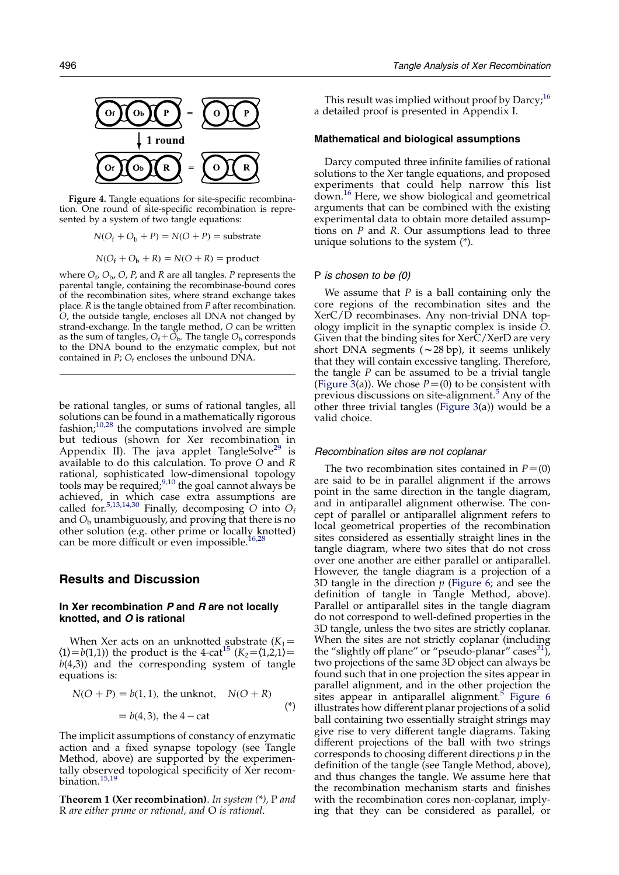<span id="page-3-0"></span>

Figure 4. Tangle equations for site-specific recombination. One round of site-specific recombination is represented by a system of two tangle equations:

$$
N(O_f + O_b + P) = N(O + P) = \text{substrate}
$$

 $N(O_f + O_b + R) = N(O + R) = \text{product}$ 

where  $O_f$ ,  $O_b$ ,  $O$ ,  $P$ , and  $R$  are all tangles.  $P$  represents the parental tangle, containing the recombinase-bound cores of the recombination sites, where strand exchange takes place. R is the tangle obtained from P after recombination. O, the outside tangle, encloses all DNA not changed by strand-exchange. In the tangle method, O can be written as the sum of tangles,  $O_f + O_b$ . The tangle  $O_b$  corresponds to the DNA bound to the enzymatic complex, but not contained in  $P$ ;  $O_f$  encloses the unbound DNA.

be rational tangles, or sums of rational tangles, all solutions can be found in a mathematically rigorous fashion; $10,28$  the computations involved are simple but tedious (shown for Xer recombination in Appendix II). The java applet TangleSolve<sup>[29](#page-10-0)</sup> is available to do this calculation. To prove O and R rational, sophisticated low-dimensional topology tools may be required;  $9,10$  the goal cannot always be achieved, in which case extra assumptions are called for.<sup>[5,13,14,30](#page-10-0)</sup> Finally, decomposing O into  $O_f$ and  $O<sub>b</sub>$  unambiguously, and proving that there is no other solution (e.g. other prime or locally knotted) can be more difficult or even impossible.<sup>16,28</sup>

### Results and Discussion

## In Xer recombination  $P$  and  $R$  are not locally knotted, and O is rational

When Xer acts on an unknotted substrate  $(K_1=$  $\langle 1 \rangle = b(1,1)$ ) the product is the 4-cat<sup>[15](#page-10-0)</sup> ( $K_2 = \langle 1,2,1 \rangle =$  $b(4,3)$ ) and the corresponding system of tangle equations is:

$$
N(O + P) = b(1, 1), \text{ the unknown, } N(O + R)
$$
  
= b(4, 3), the 4 - cat (\*)

The implicit assumptions of constancy of enzymatic action and a fixed synapse topology (see Tangle Method, above) are supported by the experimentally observed topological specificity of Xer recom-bination.<sup>[15,19](#page-10-0)</sup>

**Theorem 1 (Xer recombination)**. In system  $(*$ ), P and R are either prime or rational, and O is rational.

This result was implied without proof by Darcy; $^{16}$  $^{16}$  $^{16}$ a detailed proof is presented in Appendix I.

#### Mathematical and biological assumptions

Darcy computed three infinite families of rational solutions to the Xer tangle equations, and proposed experiments that could help narrow this list down.[16](#page-10-0) Here, we show biological and geometrical arguments that can be combined with the existing experimental data to obtain more detailed assumptions on  $P$  and  $R$ . Our assumptions lead to three unique solutions to the system (\*).

#### P is chosen to be (0)

We assume that  $P$  is a ball containing only the core regions of the recombination sites and the XerC/D recombinases. Any non-trivial DNA topology implicit in the synaptic complex is inside O. Given that the binding sites for XerC/XerD are very short DNA segments  $(\sim 28$  bp), it seems unlikely that they will contain excessive tangling. Therefore, the tangle  $P$  can be assumed to be a trivial tangle [\(Figure 3\(](#page-2-0)a)). We chose  $P=(0)$  to be consistent with previous discussions on site-alignment.<sup>[5](#page-10-0)</sup> Any of the other three trivial tangles ([Figure 3\(](#page-2-0)a)) would be a valid choice.

#### Recombination sites are not coplanar

The two recombination sites contained in  $P=(0)$ are said to be in parallel alignment if the arrows point in the same direction in the tangle diagram, and in antiparallel alignment otherwise. The concept of parallel or antiparallel alignment refers to local geometrical properties of the recombination sites considered as essentially straight lines in the tangle diagram, where two sites that do not cross over one another are either parallel or antiparallel. However, the tangle diagram is a projection of a 3D tangle in the direction  $p$  [\(Figure 6](#page-4-0); and see the definition of tangle in Tangle Method, above). Parallel or antiparallel sites in the tangle diagram do not correspond to well-defined properties in the 3D tangle, unless the two sites are strictly coplanar. When the sites are not strictly coplanar (including the "slightly off plane" or "pseudo-planar" cases $^{31}$  $^{31}$  $^{31}$ ), two projections of the same 3D object can always be found such that in one projection the sites appear in parallel alignment, and in the other projection the sites appear in antiparallel alignment. $5$  [Figure 6](#page-4-0) illustrates how different planar projections of a solid ball containing two essentially straight strings may give rise to very different tangle diagrams. Taking different projections of the ball with two strings corresponds to choosing different directions  $p$  in the definition of the tangle (see Tangle Method, above), and thus changes the tangle. We assume here that the recombination mechanism starts and finishes with the recombination cores non-coplanar, implying that they can be considered as parallel, or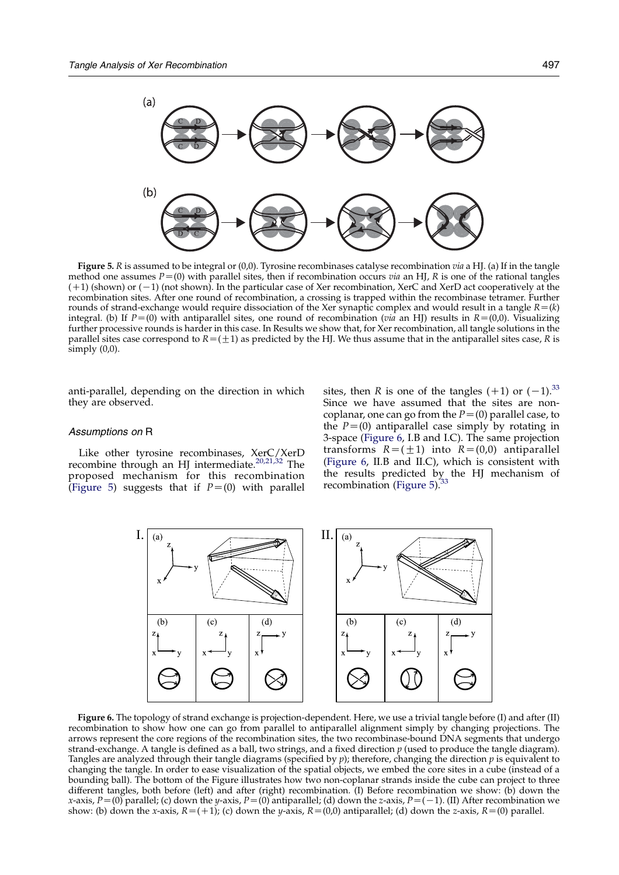<span id="page-4-0"></span>

Figure 5. R is assumed to be integral or  $(0,0)$ . Tyrosine recombinases catalyse recombination via a HJ. (a) If in the tangle method one assumes  $P=(0)$  with parallel sites, then if recombination occurs via an HJ, R is one of the rational tangles  $(+1)$  (shown) or  $(-1)$  (not shown). In the particular case of Xer recombination, XerC and XerD act cooperatively at the recombination sites. After one round of recombination, a crossing is trapped within the recombinase tetramer. Further rounds of strand-exchange would require dissociation of the Xer synaptic complex and would result in a tangle  $R = (k)$ integral. (b) If  $P=(0)$  with antiparallel sites, one round of recombination (via an HJ) results in  $R=(0,0)$ . Visualizing further processive rounds is harder in this case. In Results we show that, for Xer recombination, all tangle solutions in the parallel sites case correspond to  $R=(\pm 1)$  as predicted by the HJ. We thus assume that in the antiparallel sites case, R is simply  $(0,0)$ .

anti-parallel, depending on the direction in which they are observed.

#### Assumptions on R

Like other tyrosine recombinases, XerC/XerD recombine through an HJ intermediate.<sup>[20,21,32](#page-10-0)</sup> The proposed mechanism for this recombination (Figure 5) suggests that if  $P=(0)$  with parallel sites, then R is one of the tangles  $(+1)$  or  $(-1).^{33}$ Since we have assumed that the sites are noncoplanar, one can go from the  $P=(0)$  parallel case, to the  $P=(0)$  antiparallel case simply by rotating in 3-space (Figure 6, I.B and I.C). The same projection transforms  $R=(\pm 1)$  into  $R=(0,0)$  antiparallel (Figure 6, II.B and II.C), which is consistent with the results predicted by the HJ mechanism of recombination (Figure 5).<sup>[33](#page-10-0)</sup>



Figure 6. The topology of strand exchange is projection-dependent. Here, we use a trivial tangle before (I) and after (II) recombination to show how one can go from parallel to antiparallel alignment simply by changing projections. The arrows represent the core regions of the recombination sites, the two recombinase-bound DNA segments that undergo strand-exchange. A tangle is defined as a ball, two strings, and a fixed direction  $p$  (used to produce the tangle diagram). Tangles are analyzed through their tangle diagrams (specified by  $p$ ); therefore, changing the direction  $p$  is equivalent to changing the tangle. In order to ease visualization of the spatial objects, we embed the core sites in a cube (instead of a bounding ball). The bottom of the Figure illustrates how two non-coplanar strands inside the cube can project to three different tangles, both before (left) and after (right) recombination. (I) Before recombination we show: (b) down the x-axis,  $P=(0)$  parallel; (c) down the y-axis,  $P=(0)$  antiparallel; (d) down the z-axis,  $P=(-1)$ . (II) After recombination we show: (b) down the x-axis,  $R=(+1)$ ; (c) down the y-axis,  $R=(0,0)$  antiparallel; (d) down the z-axis,  $R=(0)$  parallel.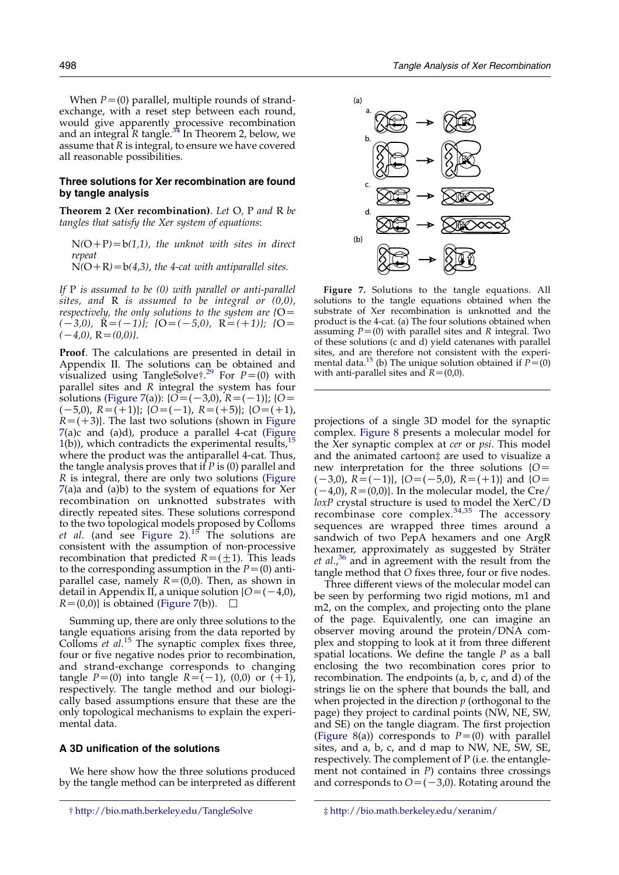<span id="page-5-0"></span>When  $P=(0)$  parallel, multiple rounds of strandexchange, with a reset step between each round, would give apparently processive recombination and an integral R tangle.<sup>[34](#page-10-0)</sup> In Theorem 2, below, we assume that  $R$  is integral, to ensure we have covered all reasonable possibilities.

### Three solutions for Xer recombination are found by tangle analysis

Theorem 2 (Xer recombination). Let O, P and R be tangles that satisfy the Xer system of equations:

 $N(O+P)=b(1,1)$ , the unknot with sites in direct repeat

 $N(O+R)=b(4,3)$ , the 4-cat with antiparallel sites.

If  $P$  is assumed to be  $(0)$  with parallel or anti-parallel sites, and  $R$  is assumed to be integral or  $(0,0)$ , respectively, the only solutions to the system are  ${O}$  =  $(-3,0), \ \ \mathbf{R}=(-1)$ ; { $\mathbf{O}=(-5,0), \ \ \mathbf{R}=(+1)$ ; { $\mathbf{O}=$  $(-4,0), R=(0,0)$ .

Proof. The calculations are presented in detail in Appendix II. The solutions can be obtained and visualized using TangleSolve†.<sup>[29](#page-10-0)</sup> For  $P=(0)$  with parallel sites and R integral the system has four solutions (Figure 7(a)): { $O = (-3,0)$ ,  $R = (-1)$ }; { $O =$  $(-5,0), R=(+1);$   $\{O=(-1), R=(+5)\};$   $\{O=(+1),$  $R=(+3)$ . The last two solutions (shown in Figure 7(a)c and (a)d), produce a parallel 4-cat ([Figure](#page-1-0) [1](#page-1-0)(b)), which contradicts the experimental results, $<sup>1</sup>$ </sup> where the product was the antiparallel 4-cat. Thus, the tangle analysis proves that if  $P$  is (0) parallel and R is integral, there are only two solutions (Figure 7(a)a and (a)b) to the system of equations for Xer recombination on unknotted substrates with directly repeated sites. These solutions correspond to the two topological models proposed by Colloms et al. (and see [Figure 2\)](#page-1-0).<sup>[15](#page-10-0)</sup> The solutions are consistent with the assumption of non-processive recombination that predicted  $R=(\pm 1)$ . This leads to the corresponding assumption in the  $P=(0)$  antiparallel case, namely  $R=(0,0)$ . Then, as shown in detail in Appendix II, a unique solution  ${O = (-4,0)}$ ,  $R=(0,0)$  is obtained (Figure 7(b)).

Summing up, there are only three solutions to the tangle equations arising from the data reported by Colloms  $et$  al.<sup>[15](#page-10-0)</sup> The synaptic complex fixes three, four or five negative nodes prior to recombination, and strand-exchange corresponds to changing tangle  $P=(0)$  into tangle  $R=(-1)$ , (0,0) or  $(+1)$ , respectively. The tangle method and our biologically based assumptions ensure that these are the only topological mechanisms to explain the experimental data.

### A 3D unification of the solutions

We here show how the three solutions produced by the tangle method can be interpreted as different



Figure 7. Solutions to the tangle equations. All solutions to the tangle equations obtained when the substrate of Xer recombination is unknotted and the product is the 4-cat. (a) The four solutions obtained when assuming  $P=(0)$  with parallel sites and R integral. Two of these solutions (c and d) yield catenanes with parallel sites, and are therefore not consistent with the experi-mental data.<sup>[15](#page-10-0)</sup> (b) The unique solution obtained if  $P=(0)$ with anti-parallel sites and  $R=(0,0)$ .

projections of a single 3D model for the synaptic complex. [Figure 8](#page-6-0) presents a molecular model for the Xer synaptic complex at cer or psi. This model and the animated cartoon‡ are used to visualize a new interpretation for the three solutions  ${O}$  =  $(-3,0)$ ,  $R=(-1)$ ,  ${O=(-5,0)}$ ,  $R=(+1)$  and  ${O=}$  $(-4,0)$ ,  $R=(0,0)$ . In the molecular model, the Cre/ loxP crystal structure is used to model the XerC/D recombinase core complex. $34,35$  The accessory sequences are wrapped three times around a sandwich of two PepA hexamers and one ArgR hexamer, approximately as suggested by Sträter *et al.*,<sup>[36](#page-10-0)</sup> and in agreement with the result from the tangle method that O fixes three, four or five nodes.

Three different views of the molecular model can be seen by performing two rigid motions, m1 and m2, on the complex, and projecting onto the plane of the page. Equivalently, one can imagine an observer moving around the protein/DNA complex and stopping to look at it from three different spatial locations. We define the tangle  $P$  as a ball enclosing the two recombination cores prior to recombination. The endpoints (a, b, c, and d) of the strings lie on the sphere that bounds the ball, and when projected in the direction  $p$  (orthogonal to the page) they project to cardinal points (NW, NE, SW, and SE) on the tangle diagram. The first projection [\(Figure 8](#page-6-0)(a)) corresponds to  $P=(0)$  with parallel sites, and a, b, c, and d map to NW, NE, SW, SE, respectively. The complement of P (i.e. the entanglement not contained in  $P$ ) contains three crossings and corresponds to  $O=(-3,0)$ . Rotating around the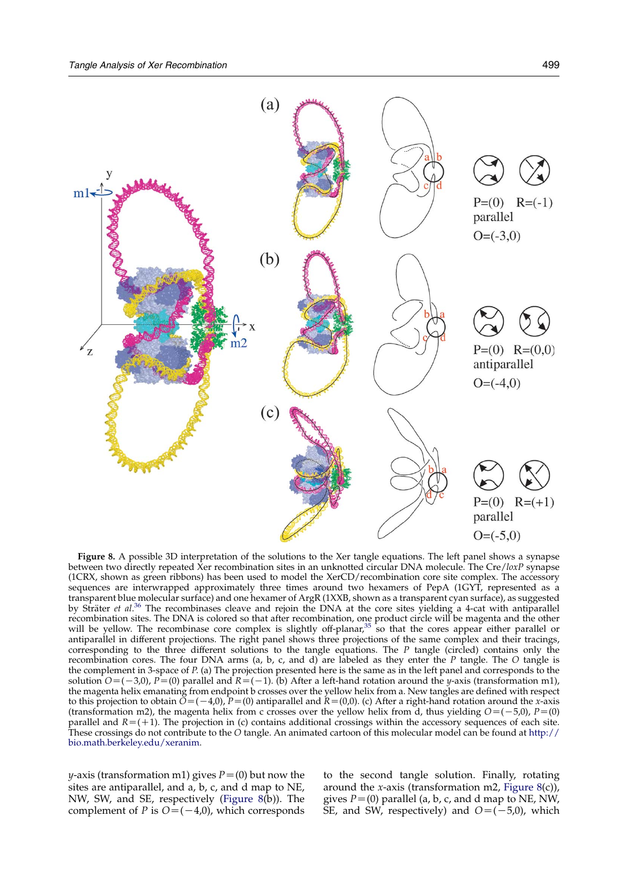<span id="page-6-0"></span>

Figure 8. A possible 3D interpretation of the solutions to the Xer tangle equations. The left panel shows a synapse between two directly repeated Xer recombination sites in an unknotted circular DNA molecule. The Cre/loxP synapse (1CRX, shown as green ribbons) has been used to model the XerCD/recombination core site complex. The accessory sequences are interwrapped approximately three times around two hexamers of PepA (1GYT, represented as a transparent blue molecular surface) and one hexamer of ArgR (1XXB, shown as a transparent cyan surface), as suggested by Sträter et al.<sup>[36](#page-10-0)</sup> The recombinases cleave and rejoin the DNA at the core sites yielding a 4-cat with antiparallel recombination sites. The DNA is colored so that after recombination, one product circle will be magenta and the other<br>will be yellow. The recombinase core complex is slightly off-planar,<sup>[35](#page-10-0)</sup> so that the cores appear either antiparallel in different projections. The right panel shows three projections of the same complex and their tracings, corresponding to the three different solutions to the tangle equations. The  $P$  tangle (circled) contains only the recombination cores. The four DNA arms (a, b, c, and d) are labeled as they enter the P tangle. The O tangle is the complement in 3-space of P. (a) The projection presented here is the same as in the left panel and corresponds to the solution  $O=(-3,0)$ , P=(0) parallel and R=(-1). (b) After a left-hand rotation around the y-axis (transformation m1), the magenta helix emanating from endpoint b crosses over the yellow helix from a. New tangles are defined with respect to this projection to obtain  $\tilde{O}=(-4,0)$ ,  $P=(0)$  antiparallel and  $R=(0,0)$ . (c) After a right-hand rotation around the x-axis (transformation m2), the magenta helix from c crosses over the yellow helix from d, thus yielding  $O = (-5,0)$ ,  $P = (0)$ parallel and  $R=(+1)$ . The projection in (c) contains additional crossings within the accessory sequences of each site. These crossings do not contribute to the O tangle. An animated cartoon of this molecular model can be found at [http://](http://bio.math.berkeley.edu/xeranim) [bio.math.berkeley.edu/xeranim.](http://bio.math.berkeley.edu/xeranim)

*y*-axis (transformation m1) gives  $P=(0)$  but now the sites are antiparallel, and a, b, c, and d map to NE, NW, SW, and SE, respectively (Figure 8(b)). The complement of *P* is  $O=(-4,0)$ , which corresponds

to the second tangle solution. Finally, rotating around the *x*-axis (transformation m2, Figure  $8(c)$ ), gives  $P = (0)$  parallel (a, b, c, and d map to NE, NW, SE, and SW, respectively) and  $O=(-5,0)$ , which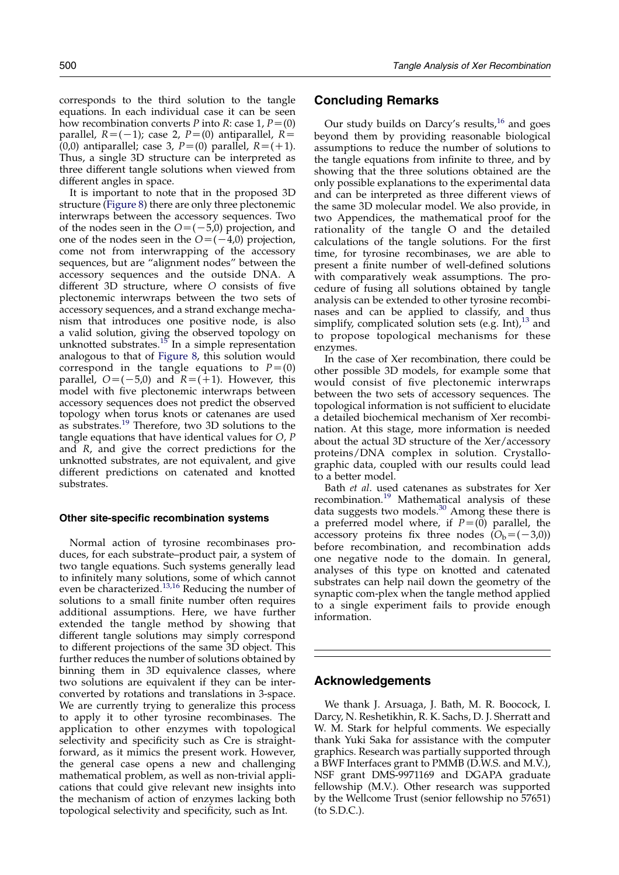different angles in space. It is important to note that in the proposed 3D structure [\(Figure 8](#page-6-0)) there are only three plectonemic interwraps between the accessory sequences. Two of the nodes seen in the  $O=(-5,0)$  projection, and one of the nodes seen in the  $O=(-4,0)$  projection, come not from interwrapping of the accessory sequences, but are "alignment nodes" between the accessory sequences and the outside DNA. A different 3D structure, where O consists of five plectonemic interwraps between the two sets of accessory sequences, and a strand exchange mechanism that introduces one positive node, is also a valid solution, giving the observed topology on unknotted substrates.<sup>[15](#page-10-0)</sup> In a simple representation analogous to that of [Figure 8](#page-6-0), this solution would correspond in the tangle equations to  $P=(0)$ parallel,  $O=(-5,0)$  and  $R=(+1)$ . However, this model with five plectonemic interwraps between accessory sequences does not predict the observed topology when torus knots or catenanes are used as substrates.<sup>[19](#page-10-0)</sup> Therefore, two 3D solutions to the tangle equations that have identical values for  $O$ ,  $P$ and R, and give the correct predictions for the unknotted substrates, are not equivalent, and give different predictions on catenated and knotted substrates.

#### Other site-specific recombination systems

Normal action of tyrosine recombinases produces, for each substrate–product pair, a system of two tangle equations. Such systems generally lead to infinitely many solutions, some of which cannot even be characterized.<sup>[13,16](#page-10-0)</sup> Reducing the number of solutions to a small finite number often requires additional assumptions. Here, we have further extended the tangle method by showing that different tangle solutions may simply correspond to different projections of the same 3D object. This further reduces the number of solutions obtained by binning them in 3D equivalence classes, where two solutions are equivalent if they can be interconverted by rotations and translations in 3-space. We are currently trying to generalize this process to apply it to other tyrosine recombinases. The application to other enzymes with topological selectivity and specificity such as Cre is straightforward, as it mimics the present work. However, the general case opens a new and challenging mathematical problem, as well as non-trivial applications that could give relevant new insights into the mechanism of action of enzymes lacking both topological selectivity and specificity, such as Int.

## 500 Tangle Analysis of Xer Recombination

## Concluding Remarks

Our study builds on Darcy's results, $^{16}$  $^{16}$  $^{16}$  and goes beyond them by providing reasonable biological assumptions to reduce the number of solutions to the tangle equations from infinite to three, and by showing that the three solutions obtained are the only possible explanations to the experimental data and can be interpreted as three different views of the same 3D molecular model. We also provide, in two Appendices, the mathematical proof for the rationality of the tangle O and the detailed calculations of the tangle solutions. For the first time, for tyrosine recombinases, we are able to present a finite number of well-defined solutions with comparatively weak assumptions. The procedure of fusing all solutions obtained by tangle analysis can be extended to other tyrosine recombinases and can be applied to classify, and thus simplify, complicated solution sets (e.g. Int),<sup>[13](#page-10-0)</sup> and to propose topological mechanisms for these enzymes.

In the case of Xer recombination, there could be other possible 3D models, for example some that would consist of five plectonemic interwraps between the two sets of accessory sequences. The topological information is not sufficient to elucidate a detailed biochemical mechanism of Xer recombination. At this stage, more information is needed about the actual  $3\overline{D}$  structure of the Xer/accessory proteins/DNA complex in solution. Crystallographic data, coupled with our results could lead to a better model.

Bath et al. used catenanes as substrates for Xer recombination.<sup>[19](#page-10-0)</sup> Mathematical analysis of these data suggests two models.<sup>[30](#page-10-0)</sup> Among these there is a preferred model where, if  $P=(0)$  parallel, the accessory proteins fix three nodes  $(\hat{O}_b = (-3,0))$ before recombination, and recombination adds one negative node to the domain. In general, analyses of this type on knotted and catenated substrates can help nail down the geometry of the synaptic com-plex when the tangle method applied to a single experiment fails to provide enough information.

## Acknowledgements

We thank J. Arsuaga, J. Bath, M. R. Boocock, I. Darcy, N. Reshetikhin, R. K. Sachs, D. J. Sherratt and W. M. Stark for helpful comments. We especially thank Yuki Saka for assistance with the computer graphics. Research was partially supported through a BWF Interfaces grant to PMMB (D.W.S. and M.V.), NSF grant DMS-9971169 and DGAPA graduate fellowship (M.V.). Other research was supported by the Wellcome Trust (senior fellowship no 57651) (to S.D.C.).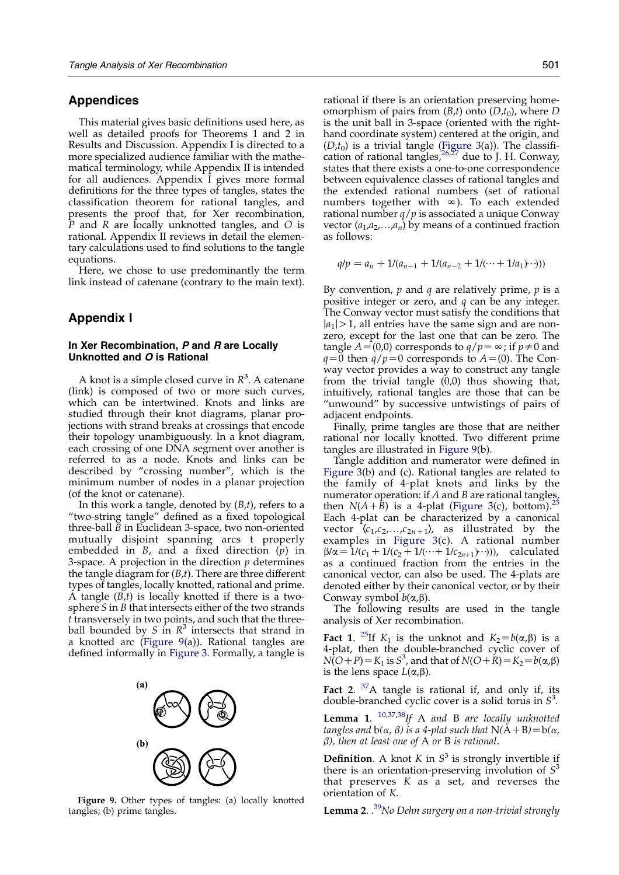## Appendices

This material gives basic definitions used here, as well as detailed proofs for Theorems 1 and 2 in Results and Discussion. Appendix I is directed to a more specialized audience familiar with the mathematical terminology, while Appendix II is intended for all audiences. Appendix I gives more formal definitions for the three types of tangles, states the classification theorem for rational tangles, and presents the proof that, for Xer recombination,  $\overline{P}$  and R are locally unknotted tangles, and O is rational. Appendix II reviews in detail the elementary calculations used to find solutions to the tangle equations.

Here, we chose to use predominantly the term link instead of catenane (contrary to the main text).

## Appendix I

## In Xer Recombination, P and R are Locally Unknotted and O is Rational

A knot is a simple closed curve in  $R^3$ . A catenane (link) is composed of two or more such curves, which can be intertwined. Knots and links are studied through their knot diagrams, planar projections with strand breaks at crossings that encode their topology unambiguously. In a knot diagram, each crossing of one DNA segment over another is referred to as a node. Knots and links can be described by "crossing number", which is the minimum number of nodes in a planar projection (of the knot or catenane).

In this work a tangle, denoted by  $(B,t)$ , refers to a "two-string tangle" defined as a fixed topological three-ball  $\tilde{B}$  in Euclidean 3-space, two non-oriented mutually disjoint spanning arcs t properly embedded in  $B$ , and a fixed direction  $(p)$  in 3-space. A projection in the direction  $p$  determines the tangle diagram for  $(B,t)$ . There are three different types of tangles, locally knotted, rational and prime. A tangle  $(B,t)$  is locally knotted if there is a twosphere S in B that intersects either of the two strands t transversely in two points, and such that the threeball bounded by S in  $R^3$  intersects that strand in a knotted arc (Figure 9(a)). Rational tangles are defined informally in [Figure 3.](#page-2-0) Formally, a tangle is



Figure 9. Other types of tangles: (a) locally knotted tangles; (b) prime tangles.

rational if there is an orientation preserving homeomorphism of pairs from  $(B,t)$  onto  $(D,t_0)$ , where D is the unit ball in 3-space (oriented with the righthand coordinate system) centered at the origin, and  $(D,t_0)$  is a trivial tangle ([Figure 3](#page-2-0)(a)). The classification of rational tangles,  $26,27$  due to J. H. Conway, states that there exists a one-to-one correspondence between equivalence classes of rational tangles and the extended rational numbers (set of rational numbers together with  $\infty$ ). To each extended rational number  $q/p$  is associated a unique Conway vector  $(a_1,a_2,...,a_n)$  by means of a continued fraction as follows:

$$
q/p = a_n + 1/(a_{n-1} + 1/(a_{n-2} + 1/(\cdots + 1/a_1)\cdots)))
$$

By convention,  $p$  and  $q$  are relatively prime,  $p$  is a positive integer or zero, and  $q$  can be any integer. The Conway vector must satisfy the conditions that  $|a_1| > 1$ , all entries have the same sign and are nonzero, except for the last one that can be zero. The tangle  $A=(0,0)$  corresponds to  $q/p=\infty$ ; if  $p\neq0$  and  $q=0$  then  $q/p=0$  corresponds to  $A=(0)$ . The Conway vector provides a way to construct any tangle from the trivial tangle (0,0) thus showing that, intuitively, rational tangles are those that can be "unwound" by successive untwistings of pairs of adjacent endpoints.

Finally, prime tangles are those that are neither rational nor locally knotted. Two different prime tangles are illustrated in Figure 9(b).

Tangle addition and numerator were defined in [Figure 3](#page-2-0)(b) and (c). Rational tangles are related to the family of 4-plat knots and links by the numerator operation: if A and B are rational tangles, then  $N(A+B)$  is a 4-plat [\(Figure 3](#page-2-0)(c), bottom). Each 4-plat can be characterized by a canonical vector  $\langle c_1,c_2,...,c_{2n+1}\rangle$ , as illustrated by the examples in [Figure 3](#page-2-0)(c). A rational number  $\beta/\alpha = 1/(c_1+1/(c_2+1/(\cdots+1/c_{2n+1})\cdots))$ , calculated as a continued fraction from the entries in the canonical vector, can also be used. The 4-plats are denoted either by their canonical vector, or by their Conway symbol  $b(\alpha,\beta)$ .

The following results are used in the tangle analysis of Xer recombination.

**Fact 1.** <sup>25</sup>If  $K_1$  is the unknot and  $K_2 = b(\alpha, \beta)$  is a 4-plat, then the double-branched cyclic cover of  $N(O+P)$  =  $K_1$  is  $S^3$ , and that of  $N(O+\acute{R})=K_2=b(\alpha,\beta)$ is the lens space  $L(\alpha,\beta)$ .

**Fact 2.**  ${}^{37}$ A tangle is rational if, and only if, its double-branched cyclic cover is a solid torus in  $S^3$ .

Lemma 1.  $^{10,37,38}$  $^{10,37,38}$  $^{10,37,38}$ If A and B are locally unknotted tangles and  $b(\alpha, \beta)$  is a 4-plat such that  $N(A+B)=b(\alpha, \beta)$  $\beta$ ), then at least one of A or B is rational.

**Definition.** A knot K in  $S^3$  is strongly invertible if there is an orientation-preserving involution of  $S<sup>3</sup>$ that preserves  $K$  as a set, and reverses the orientation of K.

**Lemma 2.**  $.^{39}$  $.^{39}$  $.^{39}$ No Dehn surgery on a non-trivial strongly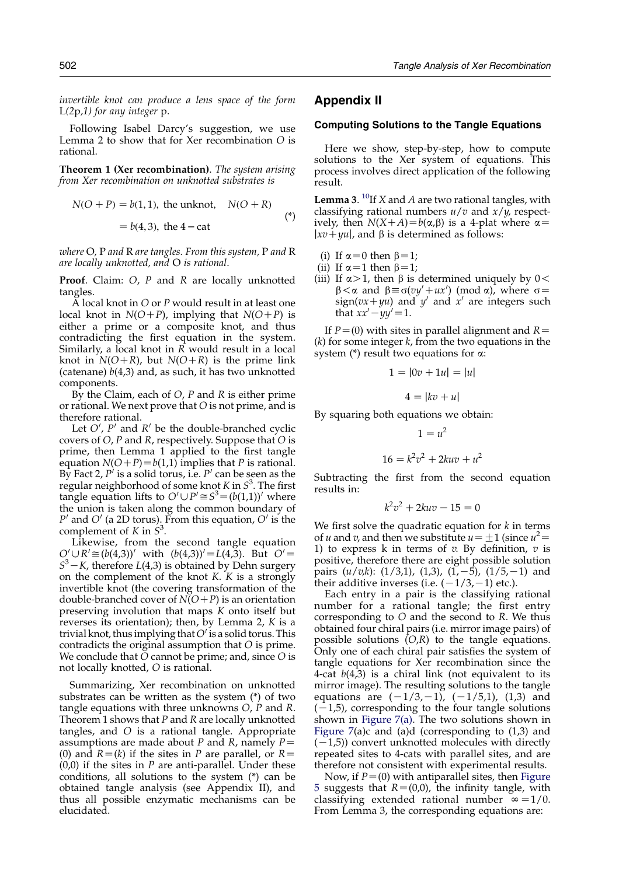invertible knot can produce a lens space of the form  $L(2p,1)$  for any integer p.

Following Isabel Darcy's suggestion, we use Lemma 2 to show that for Xer recombination O is rational.

Theorem 1 (Xer recombination). The system arising from Xer recombination on unknotted substrates is

$$
N(O + P) = b(1, 1), \text{ the unknown, } N(O + R)
$$
  
= b(4, 3), the 4 - cat (\*)

where O, P and R are tangles. From this system, P and R are locally unknotted, and O is rational.

Proof. Claim: O, P and R are locally unknotted tangles.

A local knot in  $O$  or  $P$  would result in at least one local knot in  $N(O+P)$ , implying that  $N(O+P)$  is either a prime or a composite knot, and thus contradicting the first equation in the system. Similarly, a local knot in  $\overline{R}$  would result in a local knot in  $N(O+R)$ , but  $N(O+R)$  is the prime link (catenane)  $b(4,3)$  and, as such, it has two unknotted components.

By the Claim, each of  $O$ ,  $P$  and  $R$  is either prime or rational. We next prove that O is not prime, and is therefore rational.

Let  $O'$ ,  $P'$  and  $R'$  be the double-branched cyclic covers of  $O$ , P and R, respectively. Suppose that  $O$  is prime, then Lemma 1 applied to the first tangle equation  $N(O+P)=b(1,1)$  implies that P is rational. By Fact 2,  $P'$  is a solid torus, i.e.  $P'$  can be seen as the regular neighborhood of some knot K in  $S^3$ . The first tangle equation lifts to  $O' \cup P' \cong S^3 = (b(1,1))'$  where the union is taken along the common boundary of  $P'$  and  $O'$  (a 2D torus). From this equation,  $O'$  is the complement of K in  $\hat{S}^3$ .

Likewise, from the second tangle equation  $Q' \cup R' \cong (b(4,3))'$  with  $(b(4,3))' = L(4,3)$ . But  $Q' =$  $S^3 - K$ , therefore  $L(4,3)$  is obtained by Dehn surgery on the complement of the knot K. K is a strongly invertible knot (the covering transformation of the double-branched cover of  $N(O+P)$  is an orientation preserving involution that maps K onto itself but reverses its orientation); then, by Lemma 2, K is a trivial knot, thus implying that  $O'$  is a solid torus. This contradicts the original assumption that O is prime. We conclude that  $\tilde{O}$  cannot be prime; and, since  $O$  is not locally knotted, O is rational.

Summarizing, Xer recombination on unknotted substrates can be written as the system (\*) of two tangle equations with three unknowns O, P and R. Theorem 1 shows that  $P$  and  $R$  are locally unknotted tangles, and O is a rational tangle. Appropriate assumptions are made about P and R, namely  $P=$ (0) and  $R=(k)$  if the sites in P are parallel, or  $R=$  $(0,0)$  if the sites in P are anti-parallel. Under these conditions, all solutions to the system (\*) can be obtained tangle analysis (see Appendix II), and thus all possible enzymatic mechanisms can be elucidated.

## Appendix II

#### Computing Solutions to the Tangle Equations

Here we show, step-by-step, how to compute solutions to the Xer system of equations. This process involves direct application of the following result.

**Lemma 3.** <sup>[10](#page-10-0)</sup>If *X* and *A* are two rational tangles, with classifying rational numbers  $u/v$  and  $x/y$ , respectively, then  $N(X+A) = b(\alpha, \beta)$  is a 4-plat where  $\alpha =$  $|xv+yu|$ , and  $\beta$  is determined as follows:

- (i) If  $\alpha=0$  then  $\beta=1$ ;
- (ii) If  $\alpha=1$  then  $\beta=1$ ;
- (iii) If  $\alpha > 1$ , then  $\beta$  is determined uniquely by  $0 <$  $\beta < \alpha$  and  $\beta \equiv \sigma(vy' + ux') \pmod{\alpha}$ , where  $\sigma =$ sign( $vx+yu$ ) and  $y'$  and  $x'$  are integers such that  $xx'-yy'=1$ .

If  $P=(0)$  with sites in parallel alignment and  $R=$  $(k)$  for some integer  $k$ , from the two equations in the system ( $*$ ) result two equations for  $\alpha$ :

$$
1 = |0v + 1u| = |u|
$$

$$
4=|kv+u|
$$

By squaring both equations we obtain:

$$
1 = u2
$$

$$
16 = k2v2 + 2kuv + u2
$$

Subtracting the first from the second equation results in:

$$
k^2v^2 + 2kuv - 15 = 0
$$

We first solve the quadratic equation for  $k$  in terms of *u* and *v*, and then we substitute  $u = \pm 1$  (since  $u^2 =$ 1) to express k in terms of  $v$ . By definition,  $v$  is positive, therefore there are eight possible solution pairs  $(u/v,k)$ :  $(1/3,1)$ ,  $(1,3)$ ,  $(1,-5)$ ,  $(1/5,-1)$  and their additive inverses (i.e.  $(-1/3,-1)$  etc.).

Each entry in a pair is the classifying rational number for a rational tangle; the first entry corresponding to O and the second to R. We thus obtained four chiral pairs (i.e. mirror image pairs) of possible solutions  $(O,R)$  to the tangle equations. Only one of each chiral pair satisfies the system of tangle equations for Xer recombination since the 4-cat  $b(4,3)$  is a chiral link (not equivalent to its mirror image). The resulting solutions to the tangle equations are  $(-1/3,-1)$ ,  $(-1/5,1)$ ,  $(1,3)$  and  $(-1,5)$ , corresponding to the four tangle solutions shown in [Figure 7\(a\).](#page-5-0) The two solutions shown in Figure  $7(a)c$  and  $(a)d$  (corresponding to  $(1,3)$  and  $(-1,5)$ ) convert unknotted molecules with directly repeated sites to 4-cats with parallel sites, and are therefore not consistent with experimental results.

Now, if  $P=(0)$  with antiparallel sites, then [Figure](#page-4-0) [5](#page-4-0) suggests that  $R=(0,0)$ , the infinity tangle, with classifying extended rational number  $\infty = 1/0$ . From Lemma 3, the corresponding equations are: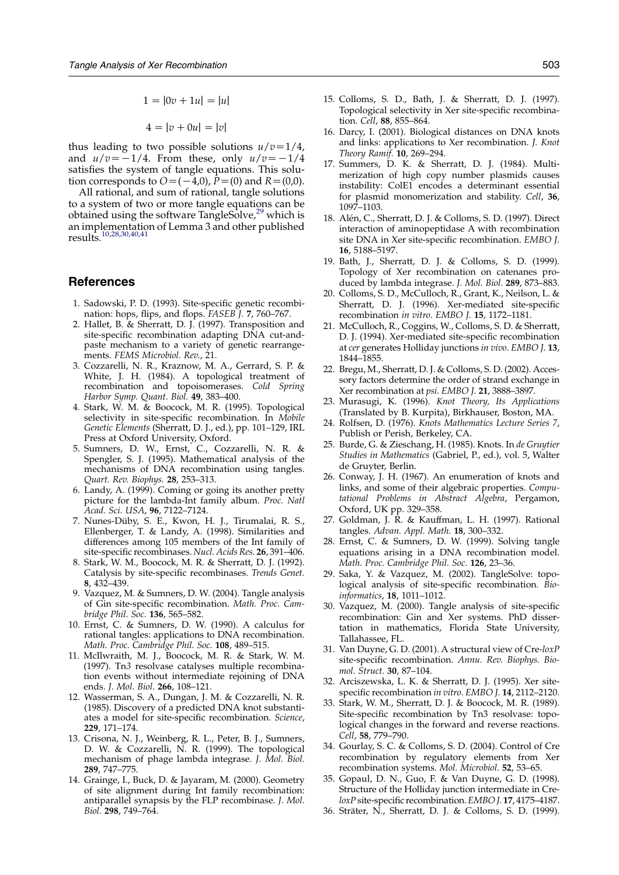$$
1 = |0v + 1u| = |u|
$$
  

$$
4 = |v + 0u| = |v|
$$

<span id="page-10-0"></span>thus leading to two possible solutions  $u/v=1/4$ , and  $u/v=-1/4$ . From these, only  $u/v=-1/4$ satisfies the system of tangle equations. This solution corresponds to  $O=(-4,0)$ ,  $\bar{P}=(0)$  and  $R=(0,0)$ .

All rational, and sum of rational, tangle solutions to a system of two or more tangle equations can be obtained using the software TangleSolve,<sup>29</sup> which is an implementation of Lemma 3 and other published results.<sup>10,28,30,40,41</sup>

## References

- 1. Sadowski, P. D. (1993). Site-specific genetic recombination: hops, flips, and flops. FASEB J. 7, 760–767.
- 2. Hallet, B. & Sherratt, D. J. (1997). Transposition and site-specific recombination adapting DNA cut-andpaste mechanism to a variety of genetic rearrangements. FEMS Microbiol. Rev., 21.
- 3. Cozzarelli, N. R., Kraznow, M. A., Gerrard, S. P. & White, J. H. (1984). A topological treatment of recombination and topoisomerases. Cold Spring Harbor Symp. Quant. Biol. **49**, 383-400.
- 4. Stark, W. M. & Boocock, M. R. (1995). Topological selectivity in site-specific recombination. In Mobile Genetic Elements (Sherratt, D. J., ed.), pp. 101–129, IRL Press at Oxford University, Oxford.
- 5. Sumners, D. W., Ernst, C., Cozzarelli, N. R. & Spengler, S. J. (1995). Mathematical analysis of the mechanisms of DNA recombination using tangles. Quart. Rev. Biophys. 28, 253–313.
- 6. Landy, A. (1999). Coming or going its another pretty picture for the lambda-Int family album. Proc. Natl Acad. Sci. USA, 96, 7122–7124.
- 7. Nunes-Düby, S. E., Kwon, H. J., Tirumalai, R. S., Ellenberger, T. & Landy, A. (1998). Similarities and differences among 105 members of the Int family of site-specific recombinases. Nucl. Acids Res. 26, 391–406.
- 8. Stark, W. M., Boocock, M. R. & Sherratt, D. J. (1992). Catalysis by site-specific recombinases. Trends Genet. 8, 432–439.
- 9. Vazquez, M. & Sumners, D. W. (2004). Tangle analysis of Gin site-specific recombination. Math. Proc. Cambridge Phil. Soc. 136, 565–582.
- 10. Ernst, C. & Sumners, D. W. (1990). A calculus for rational tangles: applications to DNA recombination. Math. Proc. Cambridge Phil. Soc. 108, 489–515.
- 11. McIlwraith, M. J., Boocock, M. R. & Stark, W. M. (1997). Tn3 resolvase catalyses multiple recombination events without intermediate rejoining of DNA ends. J. Mol. Biol. 266, 108–121.
- 12. Wasserman, S. A., Dungan, J. M. & Cozzarelli, N. R. (1985). Discovery of a predicted DNA knot substantiates a model for site-specific recombination. Science, 229, 171–174.
- 13. Crisona, N. J., Weinberg, R. L., Peter, B. J., Sumners, D. W. & Cozzarelli, N. R. (1999). The topological mechanism of phage lambda integrase. J. Mol. Biol. 289, 747–775.
- 14. Grainge, I., Buck, D. & Jayaram, M. (2000). Geometry of site alignment during Int family recombination: antiparallel synapsis by the FLP recombinase. J. Mol. Biol. 298, 749–764.
- 15. Colloms, S. D., Bath, J. & Sherratt, D. J. (1997). Topological selectivity in Xer site-specific recombination. Cell, 88, 855–864.
- 16. Darcy, I. (2001). Biological distances on DNA knots and links: applications to Xer recombination. J. Knot Theory Ramif. 10, 269–294.
- 17. Summers, D. K. & Sherratt, D. J. (1984). Multimerization of high copy number plasmids causes instability: ColE1 encodes a determinant essential for plasmid monomerization and stability. Cell, 36, 1097–1103.
- 18. Alén, C., Sherratt, D. J. & Colloms, S. D. (1997). Direct interaction of aminopeptidase A with recombination site DNA in Xer site-specific recombination. EMBO J. 16, 5188–5197.
- 19. Bath, J., Sherratt, D. J. & Colloms, S. D. (1999). Topology of Xer recombination on catenanes produced by lambda integrase. J. Mol. Biol. 289, 873–883.
- 20. Colloms, S. D., McCulloch, R., Grant, K., Neilson, L. & Sherratt, D. J. (1996). Xer-mediated site-specific recombination in vitro. EMBO J. 15, 1172–1181.
- 21. McCulloch, R., Coggins, W., Colloms, S. D. & Sherratt, D. J. (1994). Xer-mediated site-specific recombination at cer generates Holliday junctions in vivo. EMBO J. 13, 1844–1855.
- 22. Bregu, M., Sherratt, D. J. & Colloms, S. D. (2002). Accessory factors determine the order of strand exchange in Xer recombination at psi. EMBO J. 21, 3888-3897.
- 23. Murasugi, K. (1996). Knot Theory, Its Applications (Translated by B. Kurpita), Birkhauser, Boston, MA.
- Rolfsen, D. (1976). Knots Mathematics Lecture Series 7, Publish or Perish, Berkeley, CA.
- 25. Burde, G. & Zieschang, H. (1985). Knots. In de Gruytier Studies in Mathematics (Gabriel, P., ed.), vol. 5, Walter de Gruyter, Berlin.
- 26. Conway, J. H. (1967). An enumeration of knots and links, and some of their algebraic properties. Computational Problems in Abstract Algebra, Pergamon, Oxford, UK pp. 329–358.
- 27. Goldman, J. R. & Kauffman, L. H. (1997). Rational tangles. Advan. Appl. Math. 18, 300–332.
- 28. Ernst, C. & Sumners, D. W. (1999). Solving tangle equations arising in a DNA recombination model. Math. Proc. Cambridge Phil. Soc. 126, 23–36.
- 29. Saka, Y. & Vazquez, M. (2002). TangleSolve: topological analysis of site-specific recombination. Bioinformatics, 18, 1011–1012.
- 30. Vazquez, M. (2000). Tangle analysis of site-specific recombination: Gin and Xer systems. PhD dissertation in mathematics, Florida State University, Tallahassee, FL.
- 31. Van Duyne, G. D. (2001). A structural view of Cre-loxP site-specific recombination. Annu. Rev. Biophys. Biomol. Struct. 30, 87–104.
- 32. Arciszewska, L. K. & Sherratt, D. J. (1995). Xer sitespecific recombination in vitro. EMBO J. 14, 2112–2120.
- 33. Stark, W. M., Sherratt, D. J. & Boocock, M. R. (1989). Site-specific recombination by Tn3 resolvase: topological changes in the forward and reverse reactions. Cell, 58, 779–790.
- 34. Gourlay, S. C. & Colloms, S. D. (2004). Control of Cre recombination by regulatory elements from Xer recombination systems. Mol. Microbiol. 52, 53–65.
- 35. Gopaul, D. N., Guo, F. & Van Duyne, G. D. (1998). Structure of the Holliday junction intermediate in CreloxPsite-specific recombination.EMBO J. 17, 4175–4187.
- 36. Sträter, N., Sherratt, D. J. & Colloms, S. D. (1999).